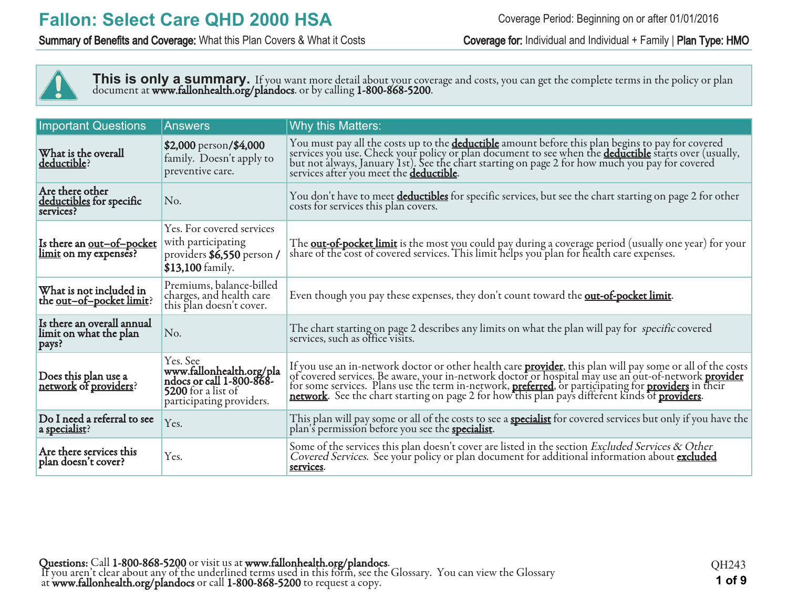### Summary of Benefits and Coverage: What this Plan Covers & What it Costs Coverage for: Individual and Individual + Family | Plan Type: HMO



This is only a summary. If you want more detail about your coverage and costs, you can get the complete terms in the policy or plan document at **www.fallonhealth.org/plandocs**. or by calling **1-800-868-5200**.

| <b>Important Questions</b>                                    | <b>Answers</b>                                                                                                     | Why this Matters:                                                                                                                                                                                                                                                                         |
|---------------------------------------------------------------|--------------------------------------------------------------------------------------------------------------------|-------------------------------------------------------------------------------------------------------------------------------------------------------------------------------------------------------------------------------------------------------------------------------------------|
| What is the overall<br>deductible?                            | \$2,000 person/\$4,000<br>family. Doesn't apply to<br>preventive care.                                             | You must pay all the costs up to the <b>deductible</b> amount before this plan begins to pay for covered<br>services you use. Check your policy or plan document to see when the <b>deductible</b> starts over (usually,<br>but not always, Ja<br>services after you meet the deductible. |
| Are there other<br>deductibles for specific<br>services?      | No.                                                                                                                | You don't have to meet deductibles for specific services, but see the chart starting on page 2 for other<br>costs for services this plan covers.                                                                                                                                          |
| Is there an <u>out-of-pocket</u><br>limit on my expenses?     | Yes. For covered services<br>with participating<br>providers \$6,550 person /<br>\$13,100 family.                  | The <b>out-of-pocket limit</b> is the most you could pay during a coverage period (usually one year) for your share of the cost of covered services. This limit helps you plan for health care expenses.                                                                                  |
| What is not included in<br>the <u>out-of-pocket limit</u> ?   | Premiums, balance-billed<br>charges, and health care<br>this plan doesn't cover.                                   | Even though you pay these expenses, they don't count toward the <b>out-of-pocket limit</b> .                                                                                                                                                                                              |
| Is there an overall annual<br>limit on what the plan<br>pays? | No.                                                                                                                | The chart starting on page 2 describes any limits on what the plan will pay for specific covered<br>services, such as office visits.                                                                                                                                                      |
| Does this plan use a<br>network of providers?                 | Yes. See<br>www.fallonhealth.org/pla<br>ndocs or call 1-800-868-<br>5200 for a list of<br>participating providers. | If you use an in-network doctor or other health care <b>provider</b> , this plan will pay some or all of the costs of covered services. Be aware, your in-network doctor or hospital may use an out-of-network <b>provider</b> for some s                                                 |
| Do I need a referral to see<br>a specialist?                  | Yes.                                                                                                               | This plan will pay some or all of the costs to see a <b>specialist</b> for covered services but only if you have the plan's permission before you see the <b>specialist</b> .                                                                                                             |
| Are there services this<br>plan doesn't cover?                | Yes.                                                                                                               | Some of the services this plan doesn't cover are listed in the section Excluded Services & Other<br>Covered Services. See your policy or plan document for additional information about excluded<br>services.                                                                             |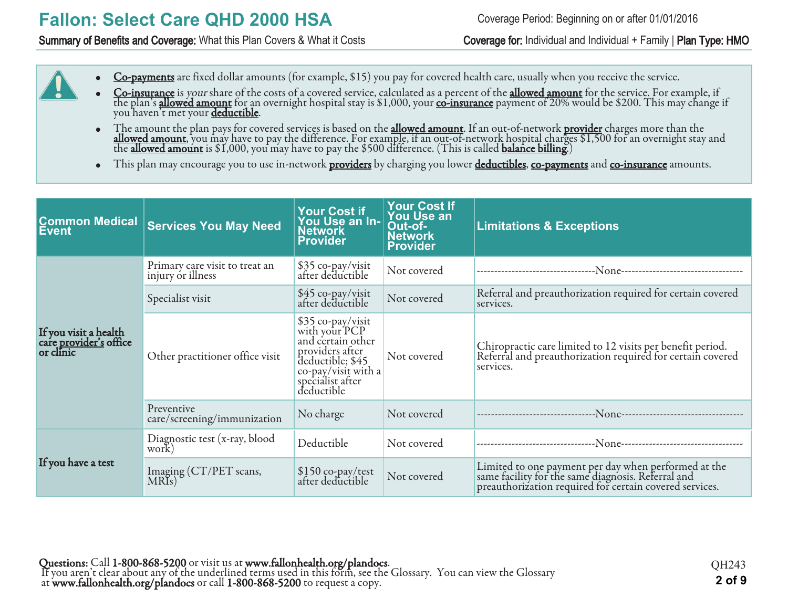### Summary of Benefits and Coverage: What this Plan Covers & What it Costs Coverage for: Individual and Individual + Family | Plan Type: HMO

- Co-payments are fixed dollar amounts (for example, \$15) you pay for covered health care, usually when you receive the service.
- Co-insurance is your share of the costs of a covered service, calculated as a percent of the allowed amount for the service. For example, if the plan's <mark>allowed amount</mark> for an overnight hospital stay is \$1,000, your <u>co-insurance</u> payment of 20% would be \$200. This may change if you haven't met your <u>deductible</u>.
- The amount the plan pays for covered services is based on the **allowed amount**. If an out-of-network <mark>provider</mark> charges more than the **allowed amount**, you may have to pay the difference. For example, if an out-of-network hospital charges \$1,500 for an overnight stay and the **allowed amount** is \$1,000, you may have to pay the \$500 difference. (This is called **balance billing.**)
- This plan may encourage you to use in-network **providers** by charging you lower **deductibles**, co-payments and co-insurance amounts.

| <b>Common Medical</b><br>Event                                      | <b>Services You May Need</b>                        | <b>Your Cost if</b><br>You Use an In-<br><b>Network</b><br><b>Provider</b>                                                                              | <b>Your Cost If</b><br><b>You Use an</b><br>Out-of-<br><b>Network</b><br><b>Provider</b> | <b>Limitations &amp; Exceptions</b>                                                                                                                                   |
|---------------------------------------------------------------------|-----------------------------------------------------|---------------------------------------------------------------------------------------------------------------------------------------------------------|------------------------------------------------------------------------------------------|-----------------------------------------------------------------------------------------------------------------------------------------------------------------------|
|                                                                     | Primary care visit to treat an<br>injury or illness | \$35 co-pay/visit<br>after deductible                                                                                                                   | Not covered                                                                              |                                                                                                                                                                       |
|                                                                     | Specialist visit                                    | \$45 co-pay/visit<br>after deductible                                                                                                                   | Not covered                                                                              | Referral and preauthorization required for certain covered<br>services.                                                                                               |
| If you visit a health<br>care <u>provider's</u> office<br>or clinic | Other practitioner office visit                     | \$35 co-pay/visit<br>with your PCP<br>and certain other<br>providers after<br>deductible; \$45<br>co-pay/visit with a<br>specialist after<br>deductible | Not covered                                                                              | Chiropractic care limited to 12 visits per benefit period.<br>Referral and preauthorization required for certain covered<br>services.                                 |
|                                                                     | Preventive<br>care/screening/immunization           | No charge                                                                                                                                               | Not covered                                                                              |                                                                                                                                                                       |
|                                                                     | Diagnostic test (x-ray, blood<br>work)              | Deductible                                                                                                                                              | Not covered                                                                              |                                                                                                                                                                       |
| If you have a test                                                  | Imaging (CT/PET scans,<br>MRIs)                     | \$150 co-pay/test<br>after deductible                                                                                                                   | Not covered                                                                              | Limited to one payment per day when performed at the<br>same facility for the same diagnosis. Referral and<br>preauthorization required for certain covered services. |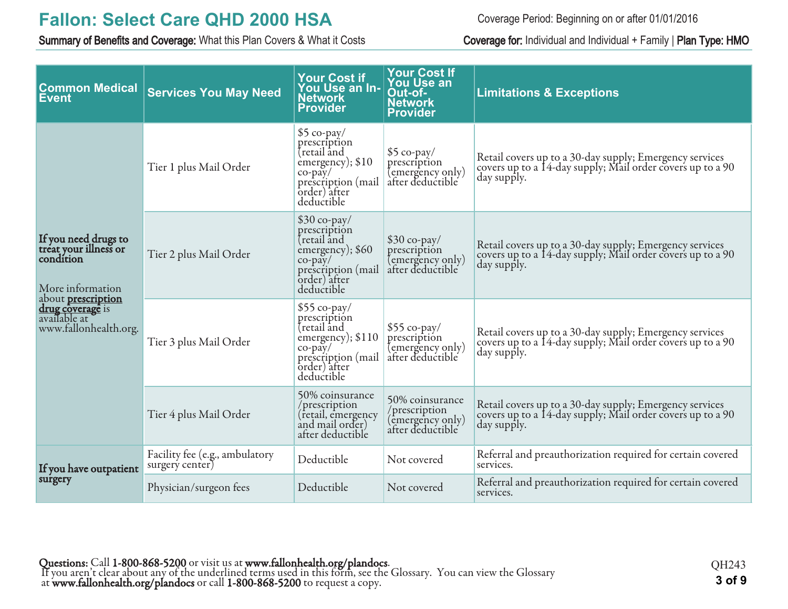Summary of Benefits and Coverage: What this Plan Covers & What it Costs Coverage for: Individual and Individual + Family | Plan Type: HMO

Coverage Period: Beginning on or after 01/01/2016

| <b>Common Medical</b><br><b>Event</b>                                                  | <b>Services You May Need</b>                      | <b>Your Cost if</b><br>You Use an In-<br><b>Network</b><br><b>Provider</b>                                                            | <b>Your Cost If</b><br><b>You Use an</b><br>Out-of-<br><b>Network</b><br><b>Provider</b> | <b>Limitations &amp; Exceptions</b>                                                                                                  |
|----------------------------------------------------------------------------------------|---------------------------------------------------|---------------------------------------------------------------------------------------------------------------------------------------|------------------------------------------------------------------------------------------|--------------------------------------------------------------------------------------------------------------------------------------|
|                                                                                        | Tier 1 plus Mail Order                            | $$5$ co-pay/<br>prescription<br>tretail and<br>emergency); \$10<br>$co-pay/$<br>prescription (mail<br>order) after<br>deductible      | $$5$ co-pay/<br>prescription<br>(emergency only)<br>after deductible                     | Retail covers up to a 30-day supply; Emergency services<br>covers up to a 14-day supply; Mail order covers up to a 90<br>day supply. |
| If you need drugs to<br>treat your illness or<br>condítion<br>More information         | Tier 2 plus Mail Order                            | $$30$ co-pay/<br>prescription<br>tretail and<br>emergency); \$60<br>$co$ -pay $/$<br>prescription (mail<br>order) after<br>deductible | $$30$ co-pay/<br>prescription<br>(emergency only)<br>after deductible                    | Retail covers up to a 30-day supply; Emergency services<br>covers up to a 14-day supply; Mail order covers up to a 90<br>day supply. |
| about <b>prescription</b><br>drug coverage is<br>available at<br>www.fallonhealth.org. | Tier 3 plus Mail Order                            | $$55$ co-pay/<br>prescription<br>tretail and<br>emergency); \$110<br>$co-pay/$<br>prescription (mail<br>order) after<br>deductible    | $$55$ co-pay/<br>prescription<br>(emergency only)<br>after deductible                    | Retail covers up to a 30-day supply; Emergency services<br>covers up to a 14-day supply; Mail order covers up to a 90<br>day supply. |
|                                                                                        | Tier 4 plus Mail Order                            | 50% coinsurance<br>/prescription<br>(retail, emergency<br>and mail order)<br>after deductible                                         | 50% coinsurance<br>/prescription<br>(emergency only)<br>after deductible                 | Retail covers up to a 30-day supply; Emergency services<br>covers up to a 14-day supply; Mail order covers up to a 90<br>day supply. |
| If you have outpatient                                                                 | Facility fee (e.g., ambulatory<br>surgery center) | Deductible                                                                                                                            | Not covered                                                                              | Referral and preauthorization required for certain covered<br>services.                                                              |
| surgery                                                                                | Physician/surgeon fees                            | Deductible                                                                                                                            | Not covered                                                                              | Referral and preauthorization required for certain covered<br>services.                                                              |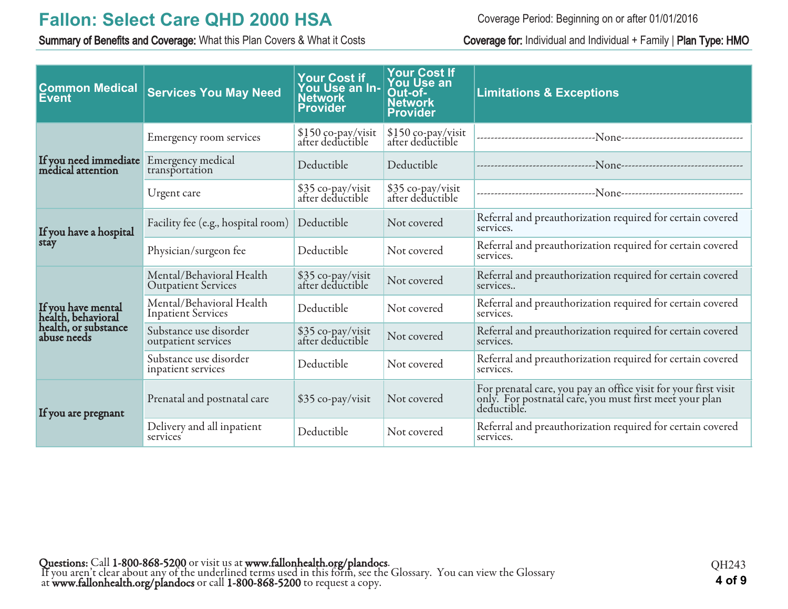Summary of Benefits and Coverage: What this Plan Covers & What it Costs Coverage for: Individual and Individual + Family | Plan Type: HMO

Coverage Period: Beginning on or after 01/01/2016

| <b>Common Medical</b><br>Event             | <b>Services You May Need</b>                           | <b>Your Cost if</b><br>You Use an In-<br><b>Network</b><br><b>Provider</b> | <b>Your Cost If</b><br><b>You Use an</b><br>Out-of-<br><b>Network</b><br><b>Provider</b> | <b>Limitations &amp; Exceptions</b>                                                                                                       |
|--------------------------------------------|--------------------------------------------------------|----------------------------------------------------------------------------|------------------------------------------------------------------------------------------|-------------------------------------------------------------------------------------------------------------------------------------------|
|                                            | Emergency room services                                | $$150$ co-pay/visit<br>after deductible                                    | \$150 co-pay/visit<br>after deductible                                                   |                                                                                                                                           |
| If you need immediate<br>medical attention | Emergency medical<br>transportation                    | Deductible                                                                 | Deductible                                                                               |                                                                                                                                           |
|                                            | Urgent care                                            | \$35 co-pay/visit<br>after deductible                                      | \$35 co-pay/visit<br>after deductible                                                    | ---------------------------------N <sub>0NC</sub> -----------------------------------                                                     |
| If you have a hospital                     | Facility fee (e.g., hospital room)                     | Deductible                                                                 | Not covered                                                                              | Referral and preauthorization required for certain covered<br>services.                                                                   |
| stay                                       | Physician/surgeon fee                                  | Deductible                                                                 | Not covered                                                                              | Referral and preauthorization required for certain covered<br>services.                                                                   |
|                                            | Mental/Behavioral Health<br><b>Outpatient Services</b> | \$35 co-pay/visit<br>after deductible                                      | Not covered                                                                              | Referral and preauthorization required for certain covered<br>services                                                                    |
| If you have mental<br>health, behavioral   | Mental/Behavioral Health<br><b>Inpatient Services</b>  | Deductible                                                                 | Not covered                                                                              | Referral and preauthorization required for certain covered<br>services.                                                                   |
| health, or substance<br>abuse needs        | Substance use disorder<br>outpatient services          | \$35 co-pay/visit<br>after deductible                                      | Not covered                                                                              | Referral and preauthorization required for certain covered<br>services.                                                                   |
|                                            | Substance use disorder<br>inpatient services           | Deductible                                                                 | Not covered                                                                              | Referral and preauthorization required for certain covered<br>services.                                                                   |
| If you are pregnant                        | Prenatal and postnatal care                            | \$35 co-pay/visit                                                          | Not covered                                                                              | For prenatal care, you pay an office visit for your first visit<br>only. For postnatal care, you must first meet your plan<br>deductible. |
|                                            | Delivery and all inpatient<br>services                 | Deductible                                                                 | Not covered                                                                              | Referral and preauthorization required for certain covered<br>services.                                                                   |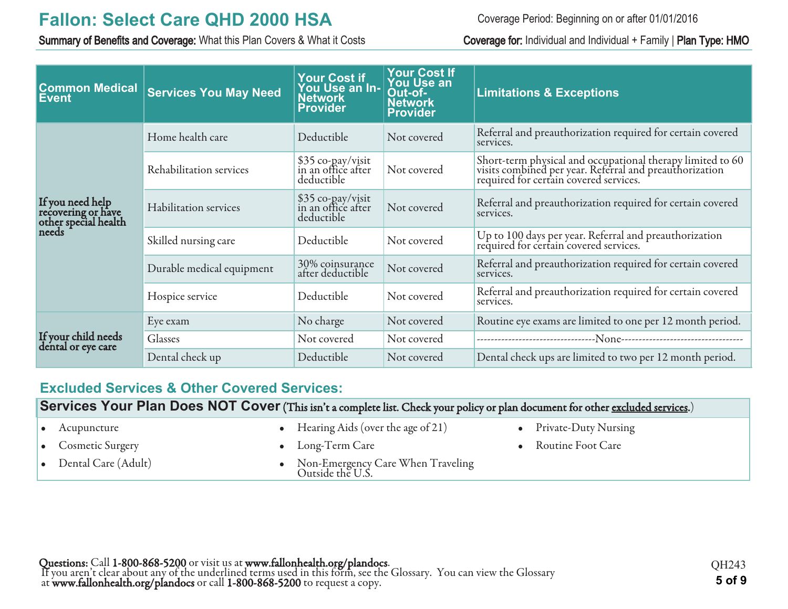Summary of Benefits and Coverage: What this Plan Covers & What it Costs Coverage for: Individual and Individual + Family | Plan Type: HMO

Coverage Period: Beginning on or after 01/01/2016

| <b>Common Medical</b><br>Event                                          | <b>Services You May Need</b> | <b>Your Cost if</b><br>You Use an In-<br><b>Network</b><br><b>Provider</b> | <b>Your Cost If</b><br><b>You Use an</b><br>Out-of-<br><b>Network</b><br><b>Provider</b> | <b>Limitations &amp; Exceptions</b>                                                                                                                             |
|-------------------------------------------------------------------------|------------------------------|----------------------------------------------------------------------------|------------------------------------------------------------------------------------------|-----------------------------------------------------------------------------------------------------------------------------------------------------------------|
|                                                                         | Home health care             | Deductible                                                                 | Not covered                                                                              | Referral and preauthorization required for certain covered<br>services.                                                                                         |
|                                                                         | Rehabilitation services      | \$35 co-pay/visit<br>in an office after<br>deductible                      | Not covered                                                                              | Short-term physical and occupational therapy limited to 60<br>visits combined per year. Referral and preauthorization<br>required for certain covered services. |
| If you need help<br>recovering or have<br>other special health<br>needs | Habilitation services        | \$35 co-pay/visit<br>in an office after<br>deductible                      | Not covered                                                                              | Referral and preauthorization required for certain covered<br>services.                                                                                         |
|                                                                         | Skilled nursing care         | Deductible                                                                 | Not covered                                                                              | Up to 100 days per year. Referral and preauthorization<br>required for certain covered services.                                                                |
|                                                                         | Durable medical equipment    | 30% coinsurance<br>after deductible                                        | Not covered                                                                              | Referral and preauthorization required for certain covered<br>services.                                                                                         |
|                                                                         | Hospice service              | Deductible                                                                 | Not covered                                                                              | Referral and preauthorization required for certain covered<br>services.                                                                                         |
|                                                                         | Eye exam                     | No charge                                                                  | Not covered                                                                              | Routine eye exams are limited to one per 12 month period.                                                                                                       |
| If your child needs<br>dental or eye care                               | Glasses                      | Not covered                                                                | Not covered                                                                              |                                                                                                                                                                 |
|                                                                         | Dental check up              | Deductible                                                                 | Not covered                                                                              | Dental check ups are limited to two per 12 month period.                                                                                                        |

# **Excluded Services & Other Covered Services:**

**Services Your Plan Does NOT Cover** (This isn't a complete list. Check your policy or plan document for other excluded services.)

| $\bullet$ Acupuncture   | • Hearing Aids (over the age of $21$ )                  | • Private-Duty Nursing |
|-------------------------|---------------------------------------------------------|------------------------|
| • Cosmetic Surgery      | • Long-Term Care                                        | • Routine Foot Care    |
| • Dental Care $(Adult)$ | • Non-Emergency Care When Traveling<br>Outside the U.S. |                        |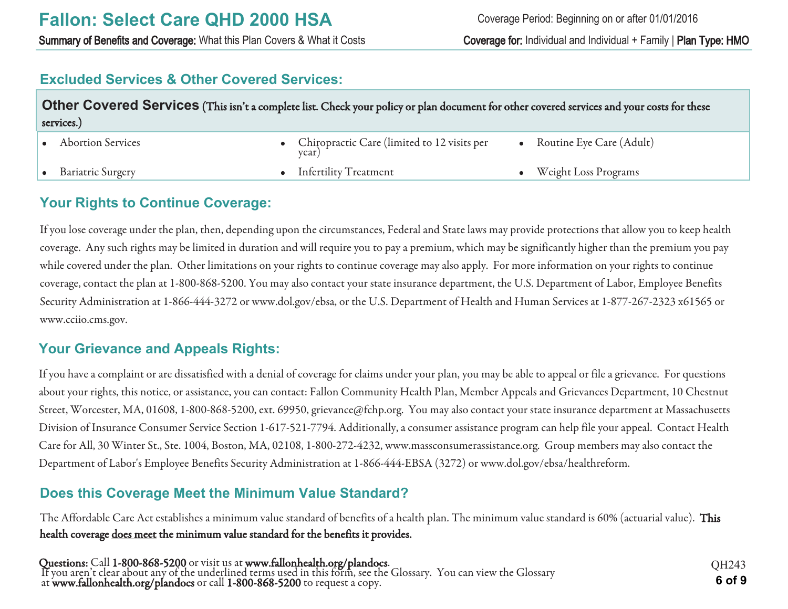# **Excluded Services & Other Covered Services:**

| Other Covered Services (This isn't a complete list. Check your policy or plan document for other covered services and your costs for these<br>services.) |  |                                                        |  |                              |  |
|----------------------------------------------------------------------------------------------------------------------------------------------------------|--|--------------------------------------------------------|--|------------------------------|--|
| • Abortion Services                                                                                                                                      |  | • Chiropractic Care (limited to 12 visits per<br>year) |  | • Routine Eye Care $(Adult)$ |  |
| • Bariatric Surgery                                                                                                                                      |  | • Infertility Treatment                                |  | <b>Weight Loss Programs</b>  |  |

# **Your Rights to Continue Coverage:**

If you lose coverage under the plan, then, depending upon the circumstances, Federal and State laws may provide protections that allow you to keep health coverage. Any such rights may be limited in duration and will require you to pay a premium, which may be significantly higher than the premium you pay while covered under the plan. Other limitations on your rights to continue coverage may also apply. For more information on your rights to continue coverage, contact the plan at 1-800-868-5200. You may also contact your state insurance department, the U.S. Department of Labor, Employee Benefits Security Administration at 1-866-444-3272 or www.dol.gov/ebsa, or the U.S. Department of Health and Human Services at 1-877-267-2323 x61565 or www.cciio.cms.gov.

# **Your Grievance and Appeals Rights:**

If you have a complaint or are dissatisfied with a denial of coverage for claims under your plan, you may be able to appeal or file a grievance. For questions about your rights, this notice, or assistance, you can contact: Fallon Community Health Plan, Member Appeals and Grievances Department, 10 Chestnut Street, Worcester, MA, 01608, 1-800-868-5200, ext. 69950, grievance@fchp.org. You may also contact your state insurance department at Massachusetts Division of Insurance Consumer Service Section 1-617-521-7794. Additionally, a consumer assistance program can help file your appeal. Contact Health Care for All, 30 Winter St., Ste. 1004, Boston, MA, 02108, 1-800-272-4232, www.massconsumerassistance.org. Group members may also contact the Department of Labor's Employee Benefits Security Administration at 1-866-444-EBSA (3272) or www.dol.gov/ebsa/healthreform.

# **Does this Coverage Meet the Minimum Value Standard?**

The Affordable Care Act establishes a minimum value standard of benefits of a health plan. The minimum value standard is 60% (actuarial value). This health coverage does meet the minimum value standard for the benefits it provides.

Questions: Call 1-800-868-5200 or visit us at www.fallonhealth.org/plandocs. If you aren't clear about any of the underlined terms used in this form, see the Glossary. You can view the Glossary at www.fallonhealth.org/plandocs or call 1-800-868-5200 to request a copy. **6 of 9**

QH243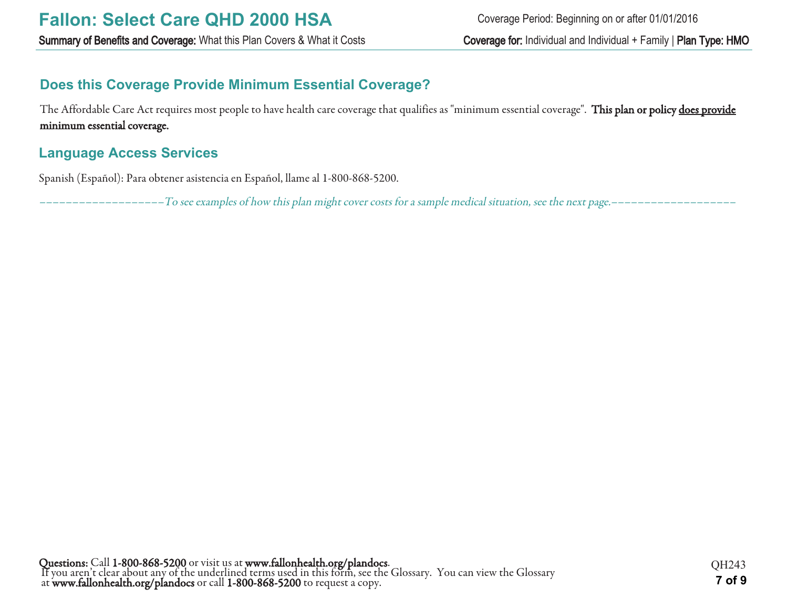# **Does this Coverage Provide Minimum Essential Coverage?**

The Affordable Care Act requires most people to have health care coverage that qualifies as "minimum essential coverage". This plan or policy does provide minimum essential coverage.

# **Language Access Services**

Spanish (Español): Para obtener asistencia en Español, llame al 1-800-868-5200.

–––––––––––––––––––To see examples of how this plan might cover costs for a sample medical situation, see the next page.–––––––––––––––––––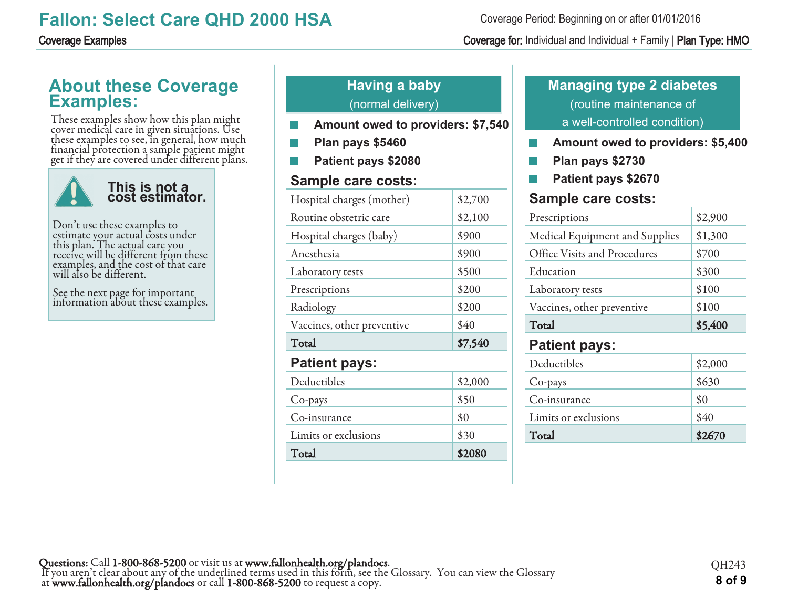### Coverage Period: Beginning on or after 01/01/2016

### Coverage Examples Coverage for: Individual and Individual + Family | Plan Type: HMO

# **About these Coverage Examples:**

These examples show how this plan might cover medical care in given situations. Use these examples to see, in general, how much financial protection a sample patient might get if they are covered under different plans.



Don't use these examples to estimate your actual costs under this plan. The actual care you receive will be different from these examples, and the cost of that care will also be different.

See the next page for important information about these examples.

# **Having a baby** (normal delivery)

- **Amount owed to providers: \$7,540**
- **Plan pays \$5460**
- **Patient pays \$2080**

# **Sample care costs:**

| Hospital charges (mother)  | \$2,700 |
|----------------------------|---------|
| Routine obstetric care     | \$2,100 |
| Hospital charges (baby)    | \$900   |
| Anesthesia                 | \$900   |
| Laboratory tests           | \$500   |
| Prescriptions              | \$200   |
| Radiology                  | \$200   |
| Vaccines, other preventive | \$40    |
| Total                      | \$7,540 |
|                            |         |
| <b>Patient pays:</b>       |         |
| Deductibles                | \$2,000 |
| Co-pays                    | \$50    |
| Co-insurance               | \$0     |
| Limits or exclusions       | \$30    |

# **Managing type 2 diabetes** (routine maintenance of a well-controlled condition)

- **Amount owed to providers: \$5,400 College**
- **Plan pays \$2730**
- **Patient pays \$2670**

# **Sample care costs:**

| .                              |         |
|--------------------------------|---------|
| <b>Patient pays:</b>           |         |
| Total                          | \$5,400 |
| Vaccines, other preventive     | \$100   |
| Laboratory tests               | \$100   |
| Education                      | \$300   |
| Office Visits and Procedures   | \$700   |
| Medical Equipment and Supplies | \$1,300 |
| Prescriptions                  | \$2,900 |

| Total                | \$2670  |
|----------------------|---------|
| Limits or exclusions | \$40    |
| Co-insurance         | \$0     |
| Co-pays              | \$630   |
| Deductibles          | \$2,000 |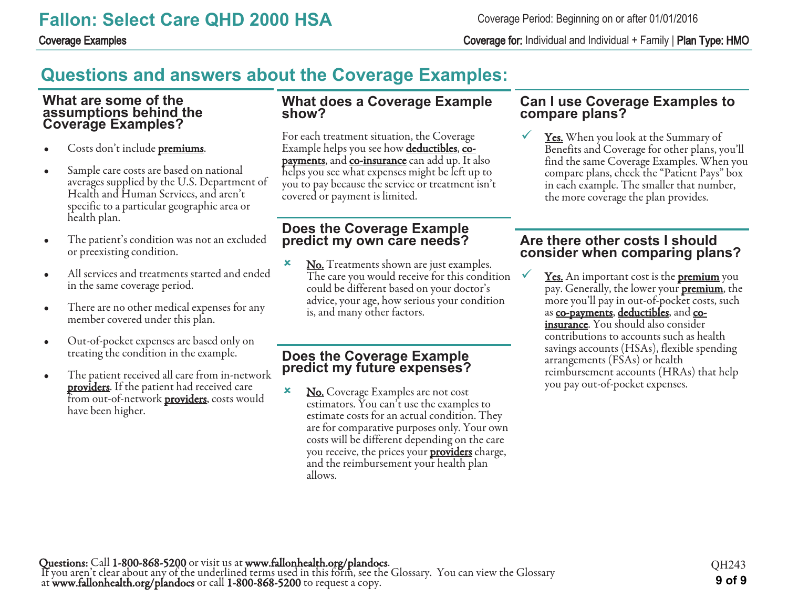Coverage Examples Coverage for: Individual and Individual + Family | Plan Type: HMO

# **Questions and answers about the Coverage Examples:**

### **What are some of the assumptions behind the Coverage Examples?**

- Costs don't include **premiums**.
- Sample care costs are based on national averages supplied by the U.S. Department of Health and Human Services, and aren't specific to a particular geographic area or health plan.
- The patient's condition was not an excluded or preexisting condition.
- All services and treatments started and ended in the same coverage period.
- There are no other medical expenses for any member covered under this plan.
- Out-of-pocket expenses are based only on treating the condition in the example.
- The patient received all care from in-network **providers**. If the patient had received care from out-of-network **providers**, costs would have been higher.

### **What does a Coverage Example show?**

For each treatment situation, the Coverage Example helps you see how **deductibles**, co**payments**, and **co-insurance** can add up. It also helps you see what expenses might be left up to you to pay because the service or treatment isn't covered or payment is limited.

# **Does the Coverage Example predict my own care needs?**

**x** No. Treatments shown are just examples. The care you would receive for this condition could be different based on your doctor's advice, your age, how serious your condition is, and many other factors.

# **Does the Coverage Example predict my future expenses?**

**×** No. Coverage Examples are not cost estimators. You can't use the examples to estimate costs for an actual condition. They are for comparative purposes only. Your own costs will be different depending on the care you receive, the prices your **providers** charge, and the reimbursement your health plan allows.

### **Can I use Coverage Examples to compare plans?**

**<u>Yes.</u>** When you look at the Summary of Benefits and Coverage for other plans, you'll find the same Coverage Examples. When you compare plans, check the "Patient Pays" box in each example. The smaller that number, the more coverage the plan provides.

# **Are there other costs I should consider when comparing plans?**

Yes. An important cost is the **premium** you pay. Generally, the lower your **premium**, the more you'll pay in out-of-pocket costs, such as co-payments, deductibles, and coinsurance. You should also consider contributions to accounts such as health savings accounts (HSAs), flexible spending arrangements (FSAs) or health reimbursement accounts (HRAs) that help you pay out-of-pocket expenses.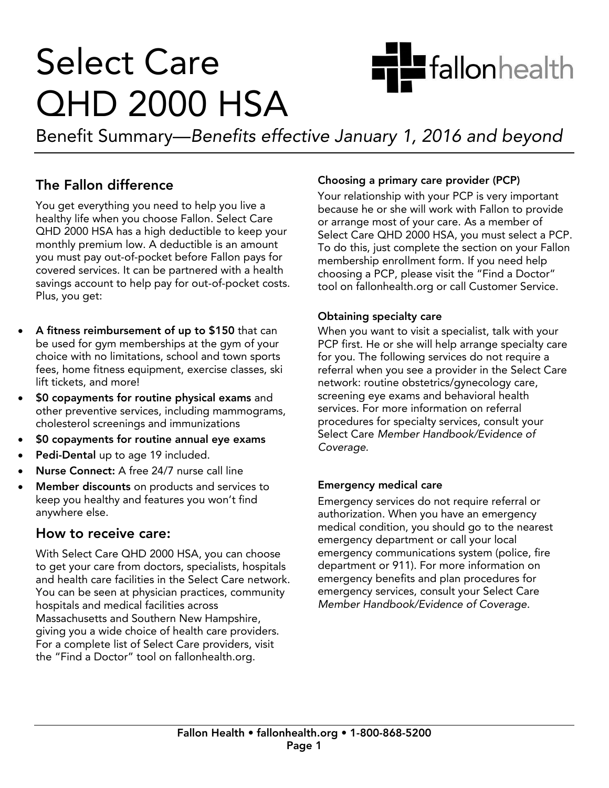# **Select Care QHD 2000 HSA**

Benefit Summary—Benefits effective January 1, 2016 and beyond

# The Fallon difference

You get everything you need to help you live a healthy life when you choose Fallon. Select Care QHD 2000 HSA has a high deductible to keep your monthly premium low. A deductible is an amount you must pay out-of-pocket before Fallon pays for covered services. It can be partnered with a health savings account to help pay for out-of-pocket costs. Plus, you get: Plus, you get:

- **A fitness reimbursement of up to \$150** that can<br>be used for gym memberships at the gym of your choice with no limitations, school and town sports fees, home fitness equipment, exercise classes, ski lift tickets, and more!
- \$0 copayments for routine physical exams and<br>other preventive services including mammogram other preventive services, including mammograms,
- **SO copayments for routine annual eye exams**<br> **Bedi Dantel up to ana 40 included**
- Pedi-Dental up to age 19 included.
- Nurse Connect: A free 24/7 nurse call line
- Member discounts on products and services to<br>keep you healthy and features you won't find anywhere else.

# How to receive care:

With Select Care QHD 2000 HSA, you can choose to get your care from doctors, specialists, hospitals and health care facilities in the Select Care network. You can be seen at physician practices, community hospitals and medical facilities across Massachusetts and Southern New Hampshire, giving you a wide choice of health care providers. For a complete list of Select Care providers, visit  $\frac{1}{2}$  For a contract Care provider  $\frac{1}{2}$  contract  $\frac{1}{2}$  contract  $\frac{1}{2}$  contract  $\frac{1}{2}$  contract  $\frac{1}{2}$  contract  $\frac{1}{2}$  contract  $\frac{1}{2}$  contract  $\frac{1}{2}$  contract  $\frac{1}{2}$  contract  $\frac{1}{2}$  c the "Find a Doctor" tool on fallonhealth.org.

**Choosing a primary care provider (PCP)**<br>Your relationship with your PCP is very important because he or she will work with Fallon to provide or arrange most of your care. As a member of Select Care QHD 2000 HSA, you must select a PCP. To do this, just complete the section on your Fallon membership enrollment form. If you need help choosing a PCP, please visit the "Find a Doctor" tool on fallonhealth.org or call Customer Service. tool on fallonhealth.org or call Customer Service.

**Hu**fallonhealth

**Obtaining specialty care**<br>When you want to visit a specialist, talk with your PCP first. He or she will help arrange specialty care for you. The following services do not require a referral when you see a provider in the Select Care network: routine obstetrics/gynecology care, screening eye exams and behavioral health services. For more information on referral procedures for specialty services, consult your Select Care Member Handbook/Evidence of Coverage. Coverage.

**Emergency medical care<br>Emergency services do not require referral or** authorization. When you have an emergency medical condition, you should go to the nearest emergency department or call your local emergency communications system (police, fire department or 911). For more information on emergency benefits and plan procedures for emergency services, consult your Select Care Member Handbook/Evidence of Coverage. Member Handbook/Evidence of Coverage.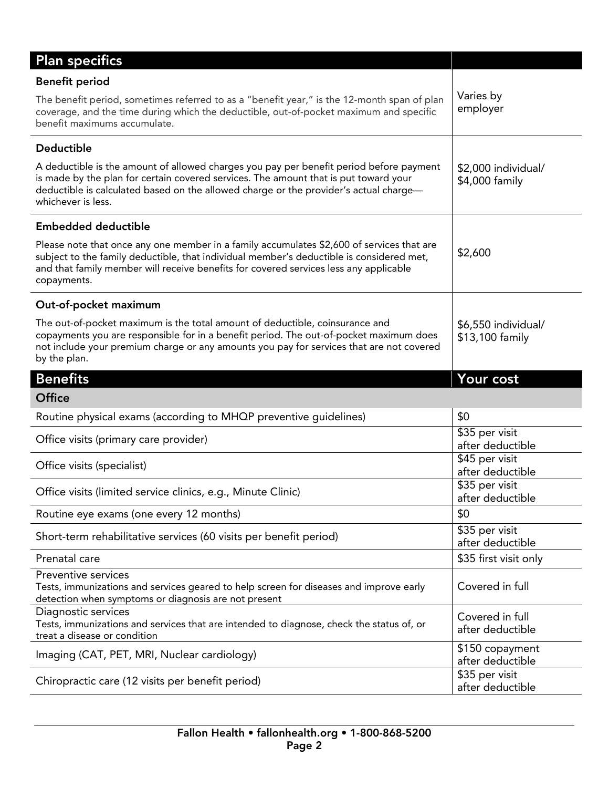| <b>Plan specifics</b>                                                                                                                                                                                                                                                                          |                                                       |
|------------------------------------------------------------------------------------------------------------------------------------------------------------------------------------------------------------------------------------------------------------------------------------------------|-------------------------------------------------------|
| <b>Benefit period</b>                                                                                                                                                                                                                                                                          |                                                       |
| The benefit period, sometimes referred to as a "benefit year," is the 12-month span of plan<br>coverage, and the time during which the deductible, out-of-pocket maximum and specific<br>benefit maximums accumulate.                                                                          | Varies by<br>employer                                 |
| Deductible                                                                                                                                                                                                                                                                                     |                                                       |
| A deductible is the amount of allowed charges you pay per benefit period before payment<br>is made by the plan for certain covered services. The amount that is put toward your<br>deductible is calculated based on the allowed charge or the provider's actual charge-<br>whichever is less. | \$2,000 individual/<br>\$4,000 family                 |
| <b>Embedded deductible</b>                                                                                                                                                                                                                                                                     |                                                       |
| Please note that once any one member in a family accumulates \$2,600 of services that are<br>subject to the family deductible, that individual member's deductible is considered met,<br>and that family member will receive benefits for covered services less any applicable<br>copayments.  | \$2,600                                               |
| Out-of-pocket maximum                                                                                                                                                                                                                                                                          |                                                       |
| The out-of-pocket maximum is the total amount of deductible, coinsurance and<br>copayments you are responsible for in a benefit period. The out-of-pocket maximum does<br>not include your premium charge or any amounts you pay for services that are not covered<br>by the plan.             | \$6,550 individual/<br>\$13,100 family                |
| <b>Benefits</b>                                                                                                                                                                                                                                                                                | Your cost                                             |
| <b>Office</b>                                                                                                                                                                                                                                                                                  |                                                       |
| Routine physical exams (according to MHQP preventive guidelines)                                                                                                                                                                                                                               | \$0                                                   |
| Office visits (primary care provider)                                                                                                                                                                                                                                                          | \$35 per visit<br>after deductible                    |
| Office visits (specialist)                                                                                                                                                                                                                                                                     | \$45 per visit<br>after deductible                    |
| Office visits (limited service clinics, e.g., Minute Clinic)                                                                                                                                                                                                                                   | \$35 per visit                                        |
|                                                                                                                                                                                                                                                                                                | after deductible                                      |
| Routine eye exams (one every 12 months)                                                                                                                                                                                                                                                        | \$0                                                   |
| Short-term rehabilitative services (60 visits per benefit period)                                                                                                                                                                                                                              | \$35 per visit<br>after deductible                    |
| Prenatal care                                                                                                                                                                                                                                                                                  | \$35 first visit only                                 |
| Preventive services<br>Tests, immunizations and services geared to help screen for diseases and improve early<br>detection when symptoms or diagnosis are not present                                                                                                                          | Covered in full                                       |
| Diagnostic services<br>Tests, immunizations and services that are intended to diagnose, check the status of, or<br>treat a disease or condition                                                                                                                                                | Covered in full<br>after deductible                   |
| Imaging (CAT, PET, MRI, Nuclear cardiology)                                                                                                                                                                                                                                                    | \$150 copayment<br>after deductible<br>\$35 per visit |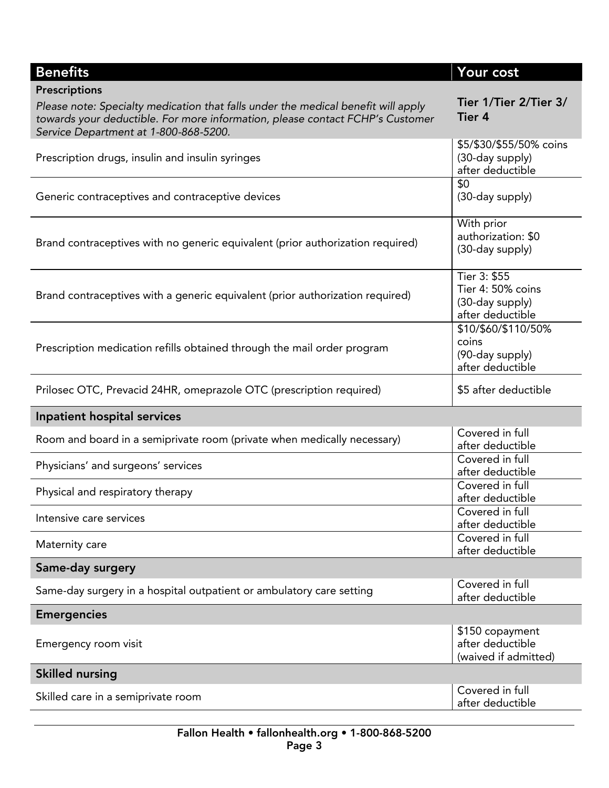| <b>Benefits</b>                                                                                                                                                                                             | Your cost                                                                |
|-------------------------------------------------------------------------------------------------------------------------------------------------------------------------------------------------------------|--------------------------------------------------------------------------|
| Prescriptions                                                                                                                                                                                               |                                                                          |
| Please note: Specialty medication that falls under the medical benefit will apply<br>towards your deductible. For more information, please contact FCHP's Customer<br>Service Department at 1-800-868-5200. | Tier 1/Tier 2/Tier 3/<br>Tier 4                                          |
| Prescription drugs, insulin and insulin syringes                                                                                                                                                            | \$5/\$30/\$55/50% coins<br>(30-day supply)<br>after deductible           |
| Generic contraceptives and contraceptive devices                                                                                                                                                            | \$0<br>(30-day supply)                                                   |
| Brand contraceptives with no generic equivalent (prior authorization required)                                                                                                                              | With prior<br>authorization: \$0<br>(30-day supply)                      |
| Brand contraceptives with a generic equivalent (prior authorization required)                                                                                                                               | Tier 3: \$55<br>Tier 4: 50% coins<br>(30-day supply)<br>after deductible |
| Prescription medication refills obtained through the mail order program                                                                                                                                     | \$10/\$60/\$110/50%<br>coins<br>(90-day supply)<br>after deductible      |
| Prilosec OTC, Prevacid 24HR, omeprazole OTC (prescription required)                                                                                                                                         | \$5 after deductible                                                     |
| Inpatient hospital services                                                                                                                                                                                 |                                                                          |
| Room and board in a semiprivate room (private when medically necessary)                                                                                                                                     | Covered in full<br>after deductible                                      |
| Physicians' and surgeons' services                                                                                                                                                                          | Covered in full<br>after deductible                                      |
| Physical and respiratory therapy                                                                                                                                                                            | Covered in full<br>after deductible                                      |
| Intensive care services                                                                                                                                                                                     | Covered in full<br>after deductible                                      |
| Maternity care                                                                                                                                                                                              | Covered in full<br>after deductible                                      |
| Same-day surgery                                                                                                                                                                                            |                                                                          |
| Same-day surgery in a hospital outpatient or ambulatory care setting                                                                                                                                        | Covered in full<br>after deductible                                      |
| <b>Emergencies</b>                                                                                                                                                                                          |                                                                          |
| Emergency room visit                                                                                                                                                                                        | \$150 copayment<br>after deductible<br>(waived if admitted)              |
| <b>Skilled nursing</b>                                                                                                                                                                                      |                                                                          |
| Skilled care in a semiprivate room                                                                                                                                                                          | Covered in full<br>after deductible                                      |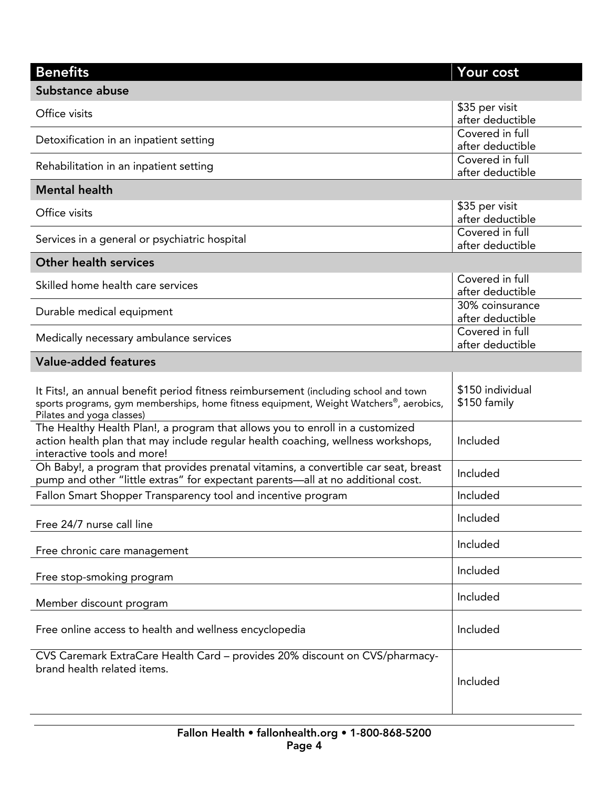| <b>Benefits</b>                                                                                            | Your cost                           |
|------------------------------------------------------------------------------------------------------------|-------------------------------------|
| Substance abuse                                                                                            |                                     |
| Office visits                                                                                              | \$35 per visit                      |
|                                                                                                            | after deductible<br>Covered in full |
| Detoxification in an inpatient setting                                                                     | after deductible                    |
| Rehabilitation in an inpatient setting                                                                     | Covered in full                     |
|                                                                                                            | after deductible                    |
| <b>Mental health</b>                                                                                       |                                     |
| Office visits                                                                                              | \$35 per visit<br>after deductible  |
|                                                                                                            | Covered in full                     |
| Services in a general or psychiatric hospital                                                              | after deductible                    |
| <b>Other health services</b>                                                                               |                                     |
| Skilled home health care services                                                                          | Covered in full                     |
|                                                                                                            | after deductible                    |
| Durable medical equipment                                                                                  | 30% coinsurance                     |
|                                                                                                            | after deductible<br>Covered in full |
| Medically necessary ambulance services                                                                     | after deductible                    |
| <b>Value-added features</b>                                                                                |                                     |
|                                                                                                            |                                     |
| It Fits!, an annual benefit period fitness reimbursement (including school and town                        | \$150 individual                    |
| sports programs, gym memberships, home fitness equipment, Weight Watchers®, aerobics,                      | \$150 family                        |
| Pilates and yoga classes)<br>The Healthy Health Plan!, a program that allows you to enroll in a customized |                                     |
| action health plan that may include regular health coaching, wellness workshops,                           | Included                            |
| interactive tools and more!                                                                                |                                     |
| Oh Baby!, a program that provides prenatal vitamins, a convertible car seat, breast                        | Included                            |
| pump and other "little extras" for expectant parents-all at no additional cost.                            |                                     |
| Fallon Smart Shopper Transparency tool and incentive program                                               | Included                            |
| Free 24/7 nurse call line                                                                                  | Included                            |
|                                                                                                            | Included                            |
| Free chronic care management                                                                               |                                     |
| Free stop-smoking program                                                                                  | Included                            |
|                                                                                                            | Included                            |
| Member discount program                                                                                    |                                     |
| Free online access to health and wellness encyclopedia                                                     | Included                            |
|                                                                                                            |                                     |
| CVS Caremark ExtraCare Health Card - provides 20% discount on CVS/pharmacy-                                |                                     |
| brand health related items.                                                                                |                                     |
|                                                                                                            | Included                            |
|                                                                                                            |                                     |